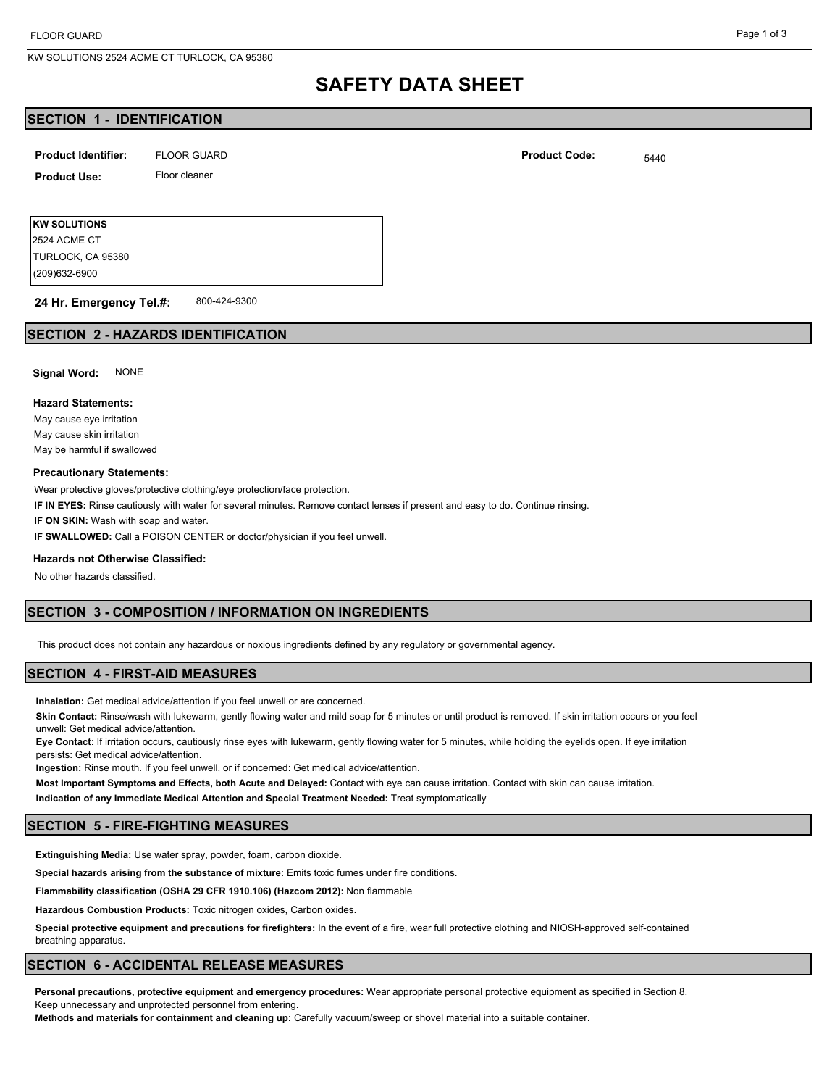KW SOLUTIONS 2524 ACME CT TURLOCK, CA 95380

#### Page 1 of 3

# **SAFETY DATA SHEET**

### **SECTION 1 - IDENTIFICATION**

| <b>Product Identifier:</b> | <b>FLOOR GUARD</b> | <b>Product Code:</b> | 5440 |
|----------------------------|--------------------|----------------------|------|
|                            |                    |                      |      |

**Product Use:** Floor cleaner

**KW SOLUTIONS** (209)632-6900 TURLOCK, CA 95380 2524 ACME CT

#### 800-424-9300 **24 Hr. Emergency Tel.#:**

#### **SECTION 2 - HAZARDS IDENTIFICATION**

**Signal Word:** NONE

#### **Hazard Statements:**

May cause eye irritation May cause skin irritation May be harmful if swallowed

#### **Precautionary Statements:**

Wear protective gloves/protective clothing/eye protection/face protection.

**IF IN EYES:** Rinse cautiously with water for several minutes. Remove contact lenses if present and easy to do. Continue rinsing.

**IF ON SKIN:** Wash with soap and water.

**IF SWALLOWED:** Call a POISON CENTER or doctor/physician if you feel unwell.

#### **Hazards not Otherwise Classified:**

No other hazards classified.

#### **SECTION 3 - COMPOSITION / INFORMATION ON INGREDIENTS**

This product does not contain any hazardous or noxious ingredients defined by any regulatory or governmental agency.

#### **SECTION 4 - FIRST-AID MEASURES**

**Inhalation:** Get medical advice/attention if you feel unwell or are concerned.

**Skin Contact:** Rinse/wash with lukewarm, gently flowing water and mild soap for 5 minutes or until product is removed. If skin irritation occurs or you feel unwell: Get medical advice/attention.

**Eye Contact:** If irritation occurs, cautiously rinse eyes with lukewarm, gently flowing water for 5 minutes, while holding the eyelids open. If eye irritation persists: Get medical advice/attention.

**Ingestion:** Rinse mouth. If you feel unwell, or if concerned: Get medical advice/attention.

**Most Important Symptoms and Effects, both Acute and Delayed:** Contact with eye can cause irritation. Contact with skin can cause irritation.

**Indication of any Immediate Medical Attention and Special Treatment Needed:** Treat symptomatically

#### **SECTION 5 - FIRE-FIGHTING MEASURES**

**Extinguishing Media:** Use water spray, powder, foam, carbon dioxide.

**Special hazards arising from the substance of mixture:** Emits toxic fumes under fire conditions.

**Flammability classification (OSHA 29 CFR 1910.106) (Hazcom 2012):** Non flammable

**Hazardous Combustion Products:** Toxic nitrogen oxides, Carbon oxides.

**Special protective equipment and precautions for firefighters:** In the event of a fire, wear full protective clothing and NIOSH-approved self-contained breathing apparatus.

# **SECTION 6 - ACCIDENTAL RELEASE MEASURES**

**Personal precautions, protective equipment and emergency procedures:** Wear appropriate personal protective equipment as specified in Section 8. Keep unnecessary and unprotected personnel from entering.

**Methods and materials for containment and cleaning up:** Carefully vacuum/sweep or shovel material into a suitable container.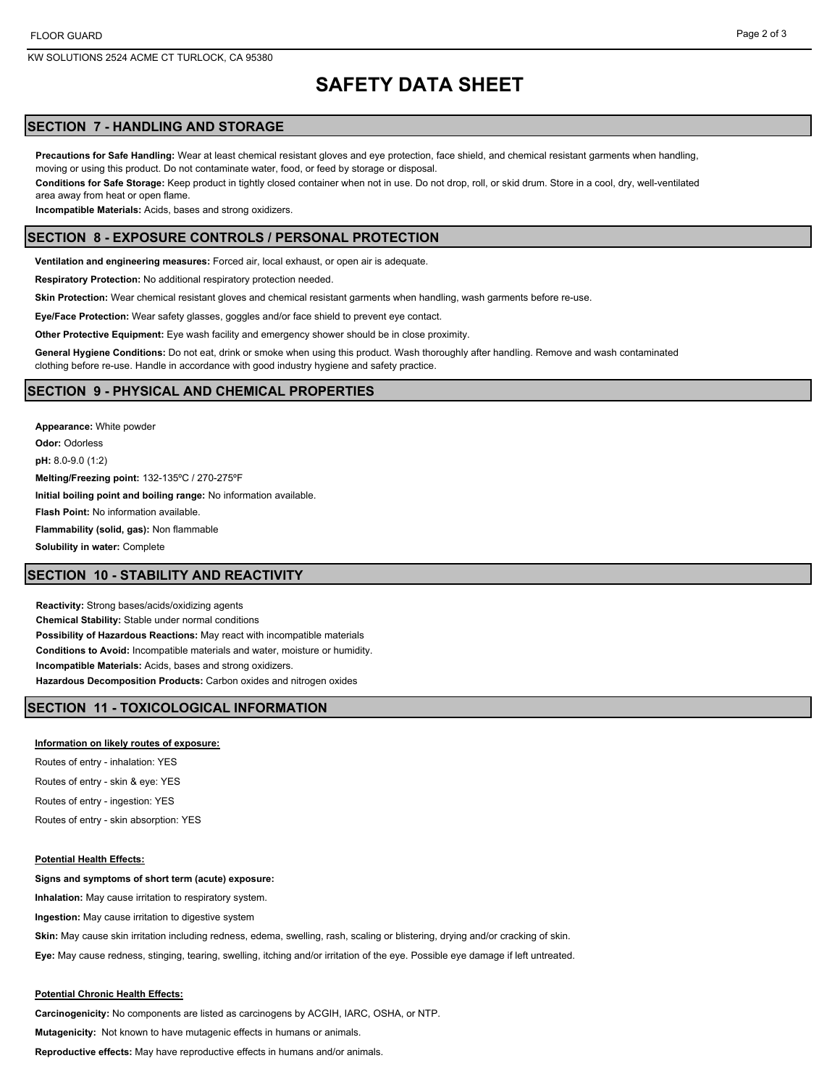KW SOLUTIONS 2524 ACME CT TURLOCK, CA 95380

# **SAFETY DATA SHEET**

# **SECTION 7 - HANDLING AND STORAGE**

**Precautions for Safe Handling:** Wear at least chemical resistant gloves and eye protection, face shield, and chemical resistant garments when handling, moving or using this product. Do not contaminate water, food, or feed by storage or disposal.

**Conditions for Safe Storage:** Keep product in tightly closed container when not in use. Do not drop, roll, or skid drum. Store in a cool, dry, well-ventilated area away from heat or open flame.

**Incompatible Materials:** Acids, bases and strong oxidizers.

#### **SECTION 8 - EXPOSURE CONTROLS / PERSONAL PROTECTION**

**Ventilation and engineering measures:** Forced air, local exhaust, or open air is adequate.

**Respiratory Protection:** No additional respiratory protection needed.

**Skin Protection:** Wear chemical resistant gloves and chemical resistant garments when handling, wash garments before re-use.

**Eye/Face Protection:** Wear safety glasses, goggles and/or face shield to prevent eye contact.

**Other Protective Equipment:** Eye wash facility and emergency shower should be in close proximity.

**General Hygiene Conditions:** Do not eat, drink or smoke when using this product. Wash thoroughly after handling. Remove and wash contaminated clothing before re-use. Handle in accordance with good industry hygiene and safety practice.

#### **SECTION 9 - PHYSICAL AND CHEMICAL PROPERTIES**

**Appearance:** White powder **Odor:** Odorless **pH:** 8.0-9.0 (1:2) **Melting/Freezing point:** 132-135ºC / 270-275ºF **Initial boiling point and boiling range:** No information available. **Flash Point:** No information available. **Flammability (solid, gas):** Non flammable **Solubility in water:** Complete

# **SECTION 10 - STABILITY AND REACTIVITY**

**Reactivity:** Strong bases/acids/oxidizing agents **Chemical Stability:** Stable under normal conditions **Possibility of Hazardous Reactions:** May react with incompatible materials **Conditions to Avoid:** Incompatible materials and water, moisture or humidity. **Incompatible Materials:** Acids, bases and strong oxidizers. **Hazardous Decomposition Products:** Carbon oxides and nitrogen oxides

### **SECTION 11 - TOXICOLOGICAL INFORMATION**

#### **Information on likely routes of exposure:**

Routes of entry - inhalation: YES

Routes of entry - skin & eye: YES

Routes of entry - ingestion: YES

Routes of entry - skin absorption: YES

#### **Potential Health Effects:**

#### **Signs and symptoms of short term (acute) exposure:**

**Inhalation:** May cause irritation to respiratory system.

**Ingestion:** May cause irritation to digestive system

**Skin:** May cause skin irritation including redness, edema, swelling, rash, scaling or blistering, drying and/or cracking of skin.

**Eye:** May cause redness, stinging, tearing, swelling, itching and/or irritation of the eye. Possible eye damage if left untreated.

#### **Potential Chronic Health Effects:**

**Carcinogenicity:** No components are listed as carcinogens by ACGIH, IARC, OSHA, or NTP.

**Mutagenicity:** Not known to have mutagenic effects in humans or animals.

**Reproductive effects:** May have reproductive effects in humans and/or animals.